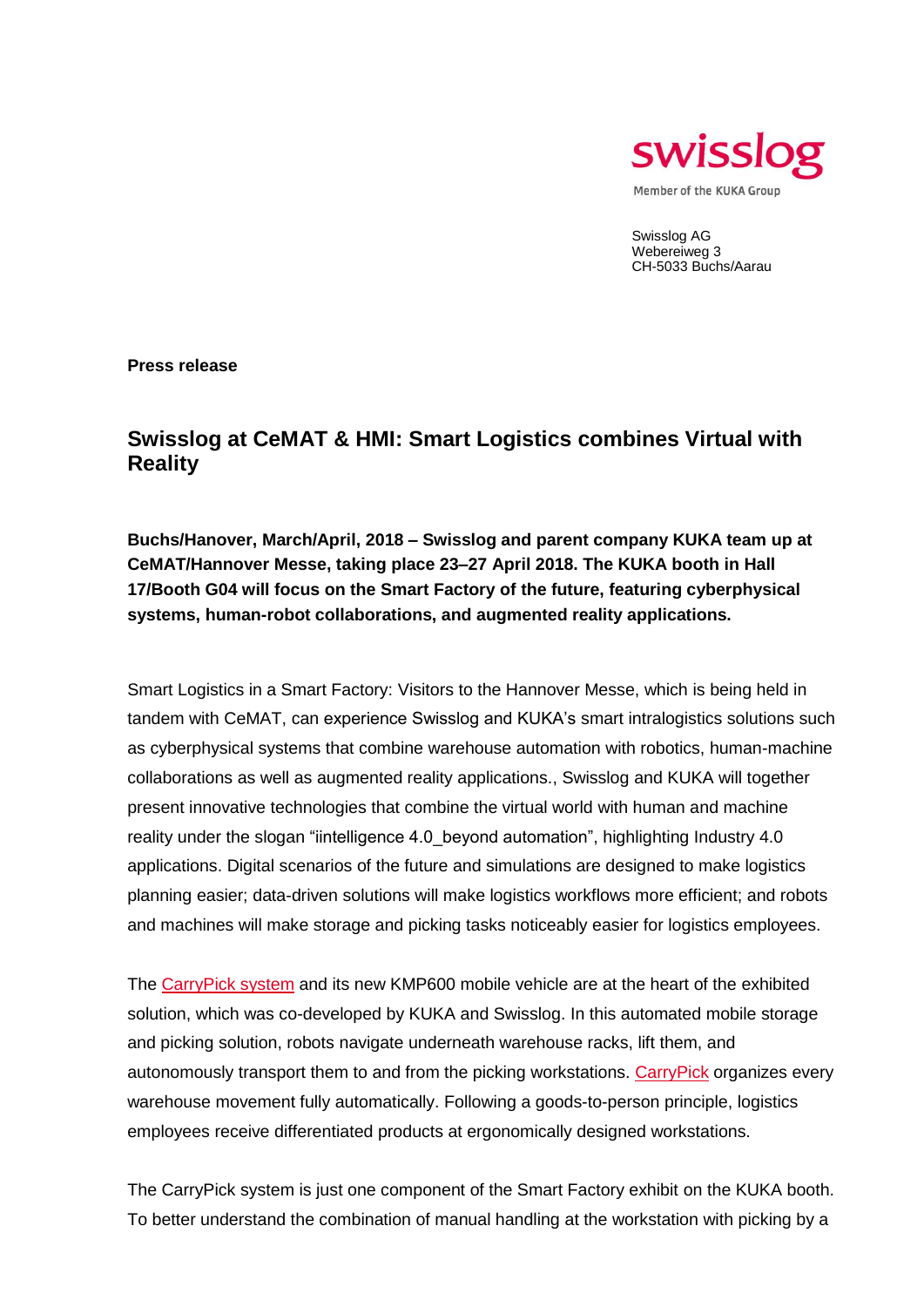

Swisslog AG Webereiweg 3 CH-5033 Buchs/Aarau

**Press release** 

## **Swisslog at CeMAT & HMI: Smart Logistics combines Virtual with Reality**

**Buchs/Hanover, March/April, 2018 – Swisslog and parent company KUKA team up at CeMAT/Hannover Messe, taking place 23–27 April 2018. The KUKA booth in Hall 17/Booth G04 will focus on the Smart Factory of the future, featuring cyberphysical systems, human-robot collaborations, and augmented reality applications.**

Smart Logistics in a Smart Factory: Visitors to the Hannover Messe, which is being held in tandem with CeMAT, can experience Swisslog and KUKA's smart intralogistics solutions such as cyberphysical systems that combine warehouse automation with robotics, human-machine collaborations as well as augmented reality applications., Swisslog and KUKA will together present innovative technologies that combine the virtual world with human and machine reality under the slogan "iintelligence 4.0\_beyond automation", highlighting Industry 4.0 applications. Digital scenarios of the future and simulations are designed to make logistics planning easier; data-driven solutions will make logistics workflows more efficient; and robots and machines will make storage and picking tasks noticeably easier for logistics employees.

The [CarryPick system](http://www.swisslog.com/carrypick) and its new KMP600 mobile vehicle are at the heart of the exhibited solution, which was co-developed by KUKA and Swisslog. In this automated mobile storage and picking solution, robots navigate underneath warehouse racks, lift them, and autonomously transport them to and from the picking workstations. [CarryPick](http://www.swisslog.com/carrypick) organizes every warehouse movement fully automatically. Following a goods-to-person principle, logistics employees receive differentiated products at ergonomically designed workstations.

The CarryPick system is just one component of the Smart Factory exhibit on the KUKA booth. To better understand the combination of manual handling at the workstation with picking by a